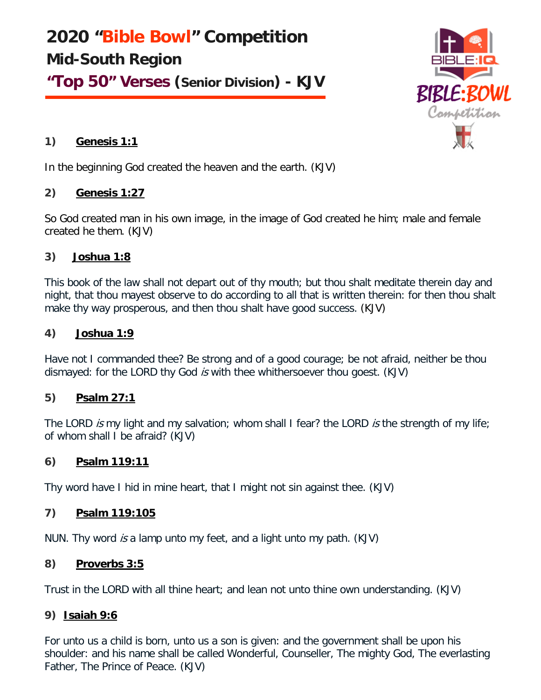**2020 "Bible Bowl" Competition Mid-South Region**

**"Top 50" Verses (Senior Division) - KJV**



# **1) Genesis 1:1**

In the beginning God created the heaven and the earth. (KJV)

# **2) Genesis 1:27**

So God created man in his own image, in the image of God created he him; male and female created he them. (KJV)

# **3) Joshua 1:8**

This book of the law shall not depart out of thy mouth; but thou shalt meditate therein day and night, that thou mayest observe to do according to all that is written therein: for then thou shalt make thy way prosperous, and then thou shalt have good success. (KJV)

# **4) Joshua 1:9**

Have not I commanded thee? Be strong and of a good courage; be not afraid, neither be thou dismayed: for the LORD thy God is with thee whithersoever thou goest. (KJV)

# **5) Psalm 27:1**

The LORD is my light and my salvation; whom shall I fear? the LORD is the strength of my life; of whom shall I be afraid? (KJV)

# **6) Psalm 119:11**

Thy word have I hid in mine heart, that I might not sin against thee. (KJV)

# **7) Psalm 119:105**

NUN. Thy word is a lamp unto my feet, and a light unto my path. (KJV)

# **8) Proverbs 3:5**

Trust in the LORD with all thine heart; and lean not unto thine own understanding. (KJV)

# **9) Isaiah 9:6**

For unto us a child is born, unto us a son is given: and the government shall be upon his shoulder: and his name shall be called Wonderful, Counseller, The mighty God, The everlasting Father, The Prince of Peace. (KJV)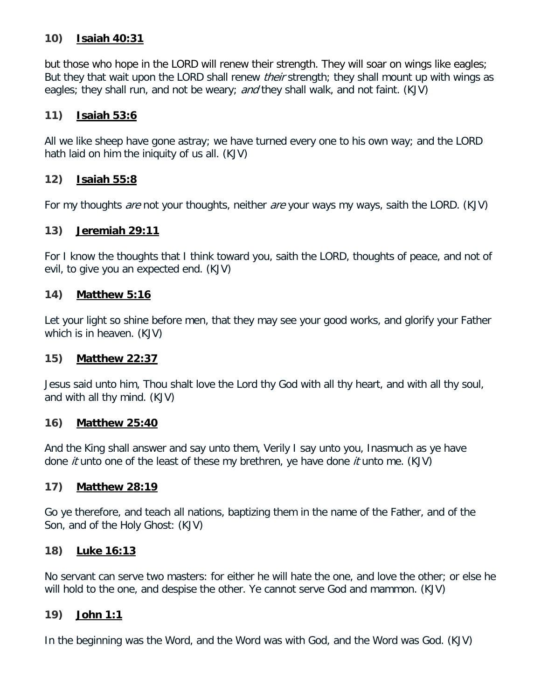### **10) Isaiah 40:31**

but those who hope in the LORD will renew their strength. They will soar on wings like eagles; But they that wait upon the LORD shall renew *their* strength; they shall mount up with wings as eagles; they shall run, and not be weary; and they shall walk, and not faint. (KJV)

### **11) Isaiah 53:6**

All we like sheep have gone astray; we have turned every one to his own way; and the LORD hath laid on him the iniquity of us all. (KJV)

### **12) Isaiah 55:8**

For my thoughts *are* not your thoughts, neither *are* your ways my ways, saith the LORD. (KJV)

### **13) Jeremiah 29:11**

For I know the thoughts that I think toward you, saith the LORD, thoughts of peace, and not of evil, to give you an expected end. (KJV)

### **14) Matthew 5:16**

Let your light so shine before men, that they may see your good works, and glorify your Father which is in heaven. (KJV)

#### **15) Matthew 22:37**

Jesus said unto him, Thou shalt love the Lord thy God with all thy heart, and with all thy soul, and with all thy mind. (KJV)

#### **16) Matthew 25:40**

And the King shall answer and say unto them, Verily I say unto you, Inasmuch as ye have done *it* unto one of the least of these my brethren, ye have done *it* unto me. (KJV)

#### **17) Matthew 28:19**

Go ye therefore, and teach all nations, baptizing them in the name of the Father, and of the Son, and of the Holy Ghost: (KJV)

#### **18) Luke 16:13**

No servant can serve two masters: for either he will hate the one, and love the other; or else he will hold to the one, and despise the other. Ye cannot serve God and mammon. (KJV)

#### **19) John 1:1**

In the beginning was the Word, and the Word was with God, and the Word was God. (KJV)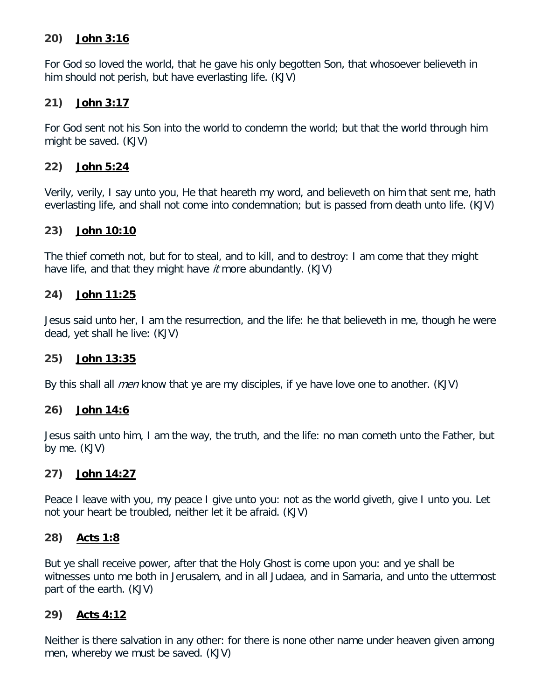### **20) John 3:16**

For God so loved the world, that he gave his only begotten Son, that whosoever believeth in him should not perish, but have everlasting life. (KJV)

### **21) John 3:17**

For God sent not his Son into the world to condemn the world; but that the world through him might be saved. (KJV)

# **22) John 5:24**

Verily, verily, I say unto you, He that heareth my word, and believeth on him that sent me, hath everlasting life, and shall not come into condemnation; but is passed from death unto life. (KJV)

### **23) John 10:10**

The thief cometh not, but for to steal, and to kill, and to destroy: I am come that they might have life, and that they might have *it* more abundantly. (KJV)

### **24) John 11:25**

Jesus said unto her, I am the resurrection, and the life: he that believeth in me, though he were dead, yet shall he live: (KJV)

#### **25) John 13:35**

By this shall all *men* know that ye are my disciples, if ye have love one to another. (KJV)

#### **26) John 14:6**

Jesus saith unto him, I am the way, the truth, and the life: no man cometh unto the Father, but by me. (KJV)

#### **27) John 14:27**

Peace I leave with you, my peace I give unto you: not as the world giveth, give I unto you. Let not your heart be troubled, neither let it be afraid. (KJV)

#### **28) Acts 1:8**

But ye shall receive power, after that the Holy Ghost is come upon you: and ye shall be witnesses unto me both in Jerusalem, and in all Judaea, and in Samaria, and unto the uttermost part of the earth. (KJV)

# **29) Acts 4:12**

Neither is there salvation in any other: for there is none other name under heaven given among men, whereby we must be saved. (KJV)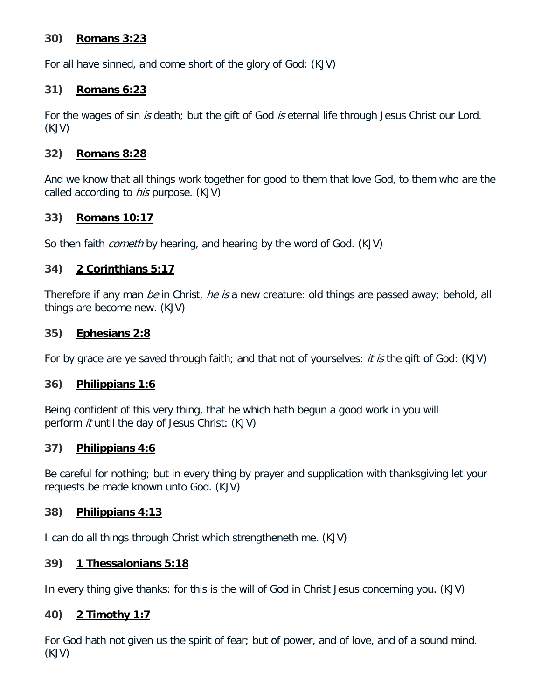### **30) Romans 3:23**

For all have sinned, and come short of the glory of God; (KJV)

### **31) Romans 6:23**

For the wages of sin is death; but the gift of God is eternal life through Jesus Christ our Lord. (KJV)

### **32) Romans 8:28**

And we know that all things work together for good to them that love God, to them who are the called according to *his* purpose. (KJV)

# **33) Romans 10:17**

So then faith *cometh* by hearing, and hearing by the word of God. (KJV)

# **34) 2 Corinthians 5:17**

Therefore if any man be in Christ, he is a new creature: old things are passed away; behold, all things are become new. (KJV)

#### **35) Ephesians 2:8**

For by grace are ye saved through faith; and that not of yourselves: *it is* the gift of God: (KJV)

#### **36) Philippians 1:6**

Being confident of this very thing, that he which hath begun a good work in you will perform *it* until the day of Jesus Christ: (KJV)

#### **37) Philippians 4:6**

Be careful for nothing; but in every thing by prayer and supplication with thanksgiving let your requests be made known unto God. (KJV)

# **38) Philippians 4:13**

I can do all things through Christ which strengtheneth me. (KJV)

# **39) 1 Thessalonians 5:18**

In every thing give thanks: for this is the will of God in Christ Jesus concerning you. (KJV)

# **40) 2 Timothy 1:7**

For God hath not given us the spirit of fear; but of power, and of love, and of a sound mind. (KJV)